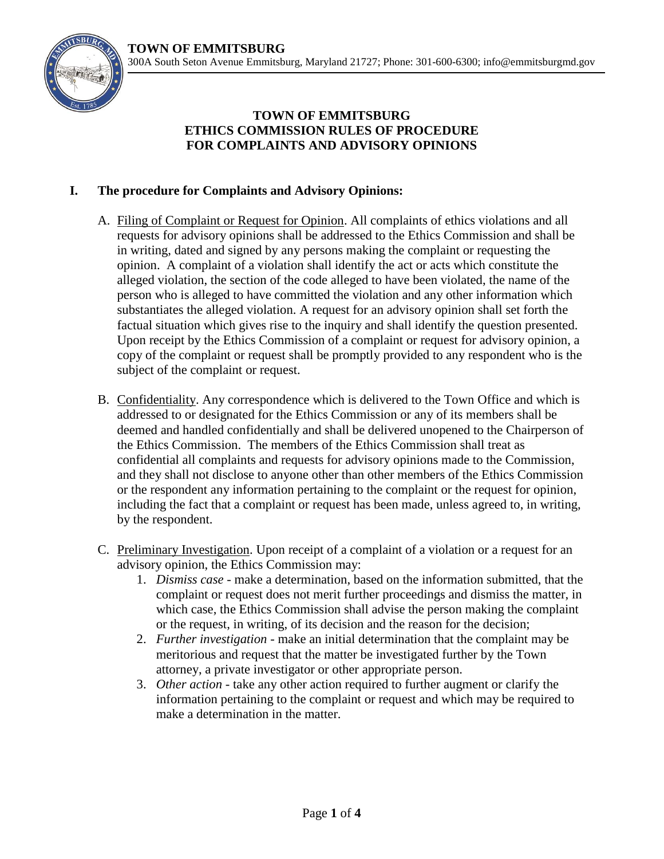

## **TOWN OF EMMITSBURG ETHICS COMMISSION RULES OF PROCEDURE FOR COMPLAINTS AND ADVISORY OPINIONS**

## **I. The procedure for Complaints and Advisory Opinions:**

- A. Filing of Complaint or Request for Opinion. All complaints of ethics violations and all requests for advisory opinions shall be addressed to the Ethics Commission and shall be in writing, dated and signed by any persons making the complaint or requesting the opinion. A complaint of a violation shall identify the act or acts which constitute the alleged violation, the section of the code alleged to have been violated, the name of the person who is alleged to have committed the violation and any other information which substantiates the alleged violation. A request for an advisory opinion shall set forth the factual situation which gives rise to the inquiry and shall identify the question presented. Upon receipt by the Ethics Commission of a complaint or request for advisory opinion, a copy of the complaint or request shall be promptly provided to any respondent who is the subject of the complaint or request.
- B. Confidentiality. Any correspondence which is delivered to the Town Office and which is addressed to or designated for the Ethics Commission or any of its members shall be deemed and handled confidentially and shall be delivered unopened to the Chairperson of the Ethics Commission. The members of the Ethics Commission shall treat as confidential all complaints and requests for advisory opinions made to the Commission, and they shall not disclose to anyone other than other members of the Ethics Commission or the respondent any information pertaining to the complaint or the request for opinion, including the fact that a complaint or request has been made, unless agreed to, in writing, by the respondent.
- C. Preliminary Investigation. Upon receipt of a complaint of a violation or a request for an advisory opinion, the Ethics Commission may:
	- 1. *Dismiss case* make a determination, based on the information submitted, that the complaint or request does not merit further proceedings and dismiss the matter, in which case, the Ethics Commission shall advise the person making the complaint or the request, in writing, of its decision and the reason for the decision;
	- 2. *Further investigation* make an initial determination that the complaint may be meritorious and request that the matter be investigated further by the Town attorney, a private investigator or other appropriate person.
	- 3. *Other action* take any other action required to further augment or clarify the information pertaining to the complaint or request and which may be required to make a determination in the matter.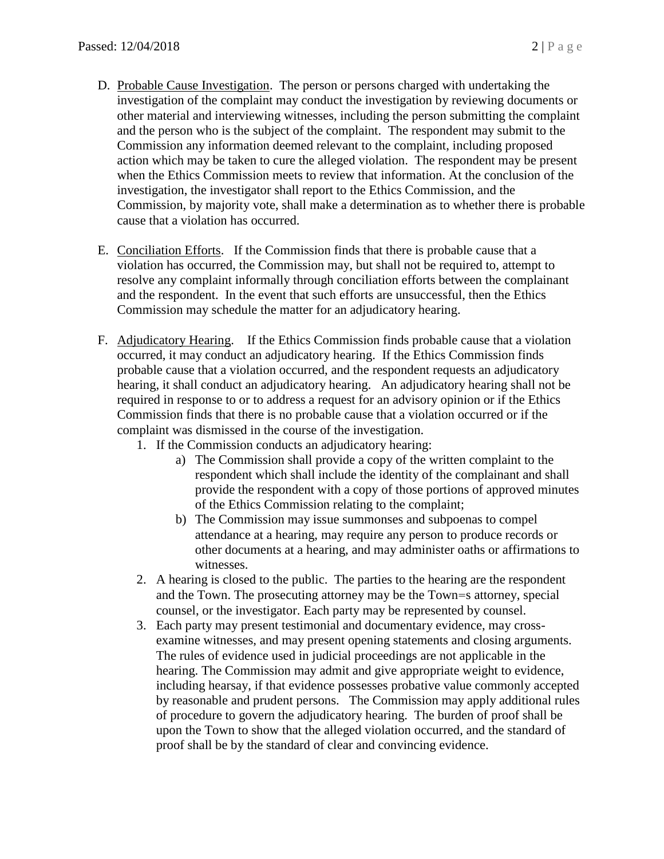- D. Probable Cause Investigation. The person or persons charged with undertaking the investigation of the complaint may conduct the investigation by reviewing documents or other material and interviewing witnesses, including the person submitting the complaint and the person who is the subject of the complaint. The respondent may submit to the Commission any information deemed relevant to the complaint, including proposed action which may be taken to cure the alleged violation. The respondent may be present when the Ethics Commission meets to review that information. At the conclusion of the investigation, the investigator shall report to the Ethics Commission, and the Commission, by majority vote, shall make a determination as to whether there is probable cause that a violation has occurred.
- E. Conciliation Efforts. If the Commission finds that there is probable cause that a violation has occurred, the Commission may, but shall not be required to, attempt to resolve any complaint informally through conciliation efforts between the complainant and the respondent. In the event that such efforts are unsuccessful, then the Ethics Commission may schedule the matter for an adjudicatory hearing.
- F. Adjudicatory Hearing. If the Ethics Commission finds probable cause that a violation occurred, it may conduct an adjudicatory hearing. If the Ethics Commission finds probable cause that a violation occurred, and the respondent requests an adjudicatory hearing, it shall conduct an adjudicatory hearing. An adjudicatory hearing shall not be required in response to or to address a request for an advisory opinion or if the Ethics Commission finds that there is no probable cause that a violation occurred or if the complaint was dismissed in the course of the investigation.
	- 1. If the Commission conducts an adjudicatory hearing:
		- a) The Commission shall provide a copy of the written complaint to the respondent which shall include the identity of the complainant and shall provide the respondent with a copy of those portions of approved minutes of the Ethics Commission relating to the complaint;
		- b) The Commission may issue summonses and subpoenas to compel attendance at a hearing, may require any person to produce records or other documents at a hearing, and may administer oaths or affirmations to witnesses.
	- 2. A hearing is closed to the public. The parties to the hearing are the respondent and the Town. The prosecuting attorney may be the Town=s attorney, special counsel, or the investigator. Each party may be represented by counsel.
	- 3. Each party may present testimonial and documentary evidence, may crossexamine witnesses, and may present opening statements and closing arguments. The rules of evidence used in judicial proceedings are not applicable in the hearing. The Commission may admit and give appropriate weight to evidence, including hearsay, if that evidence possesses probative value commonly accepted by reasonable and prudent persons. The Commission may apply additional rules of procedure to govern the adjudicatory hearing. The burden of proof shall be upon the Town to show that the alleged violation occurred, and the standard of proof shall be by the standard of clear and convincing evidence.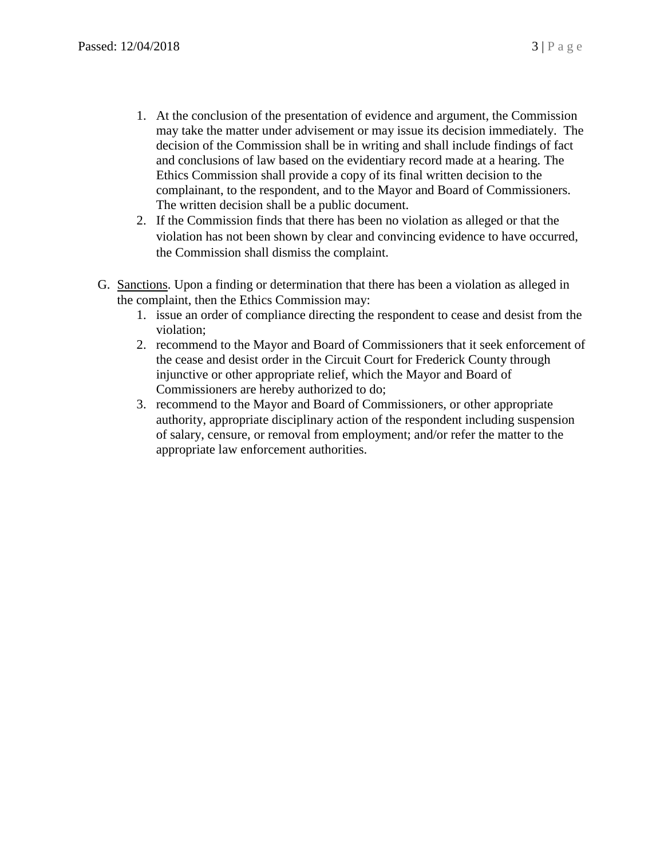- 1. At the conclusion of the presentation of evidence and argument, the Commission may take the matter under advisement or may issue its decision immediately. The decision of the Commission shall be in writing and shall include findings of fact and conclusions of law based on the evidentiary record made at a hearing. The Ethics Commission shall provide a copy of its final written decision to the complainant, to the respondent, and to the Mayor and Board of Commissioners. The written decision shall be a public document.
- 2. If the Commission finds that there has been no violation as alleged or that the violation has not been shown by clear and convincing evidence to have occurred, the Commission shall dismiss the complaint.
- G. Sanctions. Upon a finding or determination that there has been a violation as alleged in the complaint, then the Ethics Commission may:
	- 1. issue an order of compliance directing the respondent to cease and desist from the violation;
	- 2. recommend to the Mayor and Board of Commissioners that it seek enforcement of the cease and desist order in the Circuit Court for Frederick County through injunctive or other appropriate relief, which the Mayor and Board of Commissioners are hereby authorized to do;
	- 3. recommend to the Mayor and Board of Commissioners, or other appropriate authority, appropriate disciplinary action of the respondent including suspension of salary, censure, or removal from employment; and/or refer the matter to the appropriate law enforcement authorities.